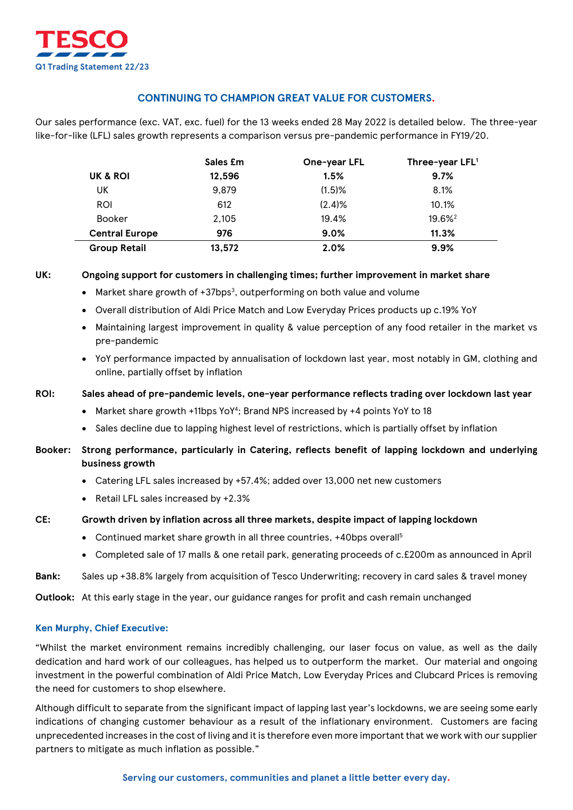

# **CONTINUING TO CHAMPION GREAT VALUE FOR CUSTOMERS.**

Our sales performance (exc. VAT, exc. fuel) for the 13 weeks ended 28 May 2022 is detailed below. The three-year like-for-like (LFL) sales growth represents a comparison versus pre-pandemic performance in FY19/20.

|                       | Sales £m | One-year LFL | Three-year LFL <sup>1</sup> |
|-----------------------|----------|--------------|-----------------------------|
| UK & ROI              | 12,596   | 1.5%         | 9.7%                        |
| UK                    | 9,879    | $(1.5)$ %    | 8.1%                        |
| ROI                   | 612      | $(2.4)$ %    | 10.1%                       |
| <b>Booker</b>         | 2.105    | 19.4%        | 19.6% <sup>2</sup>          |
| <b>Central Europe</b> | 976      | 9.0%         | 11.3%                       |
| <b>Group Retail</b>   | 13,572   | 2.0%         | 9.9%                        |

## **UK: Ongoing support for customers in challenging times; further improvement in market share**

- Market share growth of  $+37$ bps<sup>3</sup>, outperforming on both value and volume
- Overall distribution of Aldi Price Match and Low Everyday Prices products up c.19% YoY
- Maintaining largest improvement in quality & value perception of any food retailer in the market vs pre-pandemic
- YoY performance impacted by annualisation of lockdown last year, most notably in GM, clothing and online, partially offset by inflation

#### **ROI: Sales ahead of pre-pandemic levels, one-year performance reflects trading over lockdown last year**

- Market share growth +11bps YoY<sup>4</sup>; Brand NPS increased by +4 points YoY to 18
- Sales decline due to lapping highest level of restrictions, which is partially offset by inflation

## **Booker: Strong performance, particularly in Catering, reflects benefit of lapping lockdown and underlying business growth**

- Catering LFL sales increased by +57.4%; added over 13,000 net new customers
- Retail LFL sales increased by +2.3%

#### **CE: Growth driven by inflation across all three markets, despite impact of lapping lockdown**

- Continued market share growth in all three countries, +40bps overall<sup>5</sup>
- Completed sale of 17 malls & one retail park, generating proceeds of c.£200m as announced in April

**Bank:** Sales up +38.8% largely from acquisition of Tesco Underwriting; recovery in card sales & travel money

**Outlook:** At this early stage in the year, our guidance ranges for profit and cash remain unchanged

#### **Ken Murphy, Chief Executive:**

"Whilst the market environment remains incredibly challenging, our laser focus on value, as well as the daily dedication and hard work of our colleagues, has helped us to outperform the market. Our material and ongoing investment in the powerful combination of Aldi Price Match, Low Everyday Prices and Clubcard Prices is removing the need for customers to shop elsewhere.

Although difficult to separate from the significant impact of lapping last year's lockdowns, we are seeing some early indications of changing customer behaviour as a result of the inflationary environment. Customers are facing unprecedented increases in the cost of living and it is therefore even more important that we work with our supplier partners to mitigate as much inflation as possible."

#### **Serving our customers, communities and planet a little better every day.**